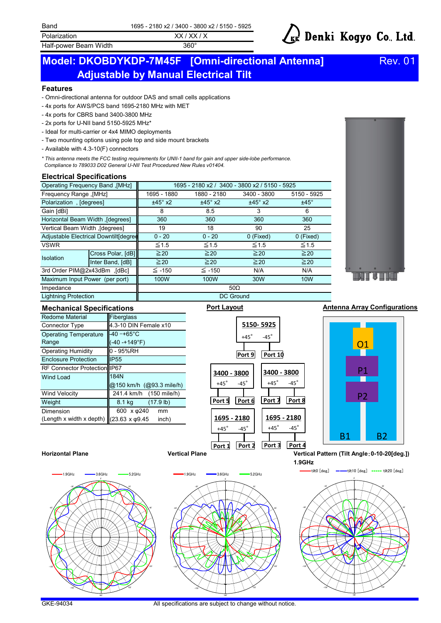Half-power Beam Width 360°

# kk Denki Kogyo Co., Ltd.

## **Adjustable by Manual Electrical Tilt Model: DKOBDYKDP-7M45F [Omni-directional Antenna]** Rev. 01

#### **Features**

- Omni-directional antenna for outdoor DAS and small cells applications

- 4x ports for AWS/PCS band 1695-2180 MHz with MET
- 4x ports for CBRS band 3400-3800 MHz
- 2x ports for U-NII band 5150-5925 MHz\*
- Ideal for multi-carrier or 4x4 MIMO deployments
- Two mounting options using pole top and side mount brackets
- Available with 4.3-10(F) connectors

*\* This antenna meets the FCC testing requirements for UNII-1 band for gain and upper side-lobe performance. Compliance to 789033 D02 General U-NII Test Procedured New Rules v01404.*

#### **Electrical Specifications**

| Operating Frequency Band, [MHz]        |                   | 1695 - 2180 x2 / 3400 - 3800 x2 / 5150 - 5925 |                |                |             |
|----------------------------------------|-------------------|-----------------------------------------------|----------------|----------------|-------------|
|                                        |                   |                                               |                |                |             |
| <b>Frequency Range , [MHz]</b>         |                   | 1695 - 1880                                   | 1880 - 2180    | 3400 - 3800    | 5150 - 5925 |
| Polarization, [degrees]                |                   | $±45^\circ$ x2                                | $±45^\circ$ x2 | $±45^\circ$ x2 | $±45^\circ$ |
| Gain [dBi]                             |                   | 8                                             | 8.5            | 3              | 6           |
| Horizontal Beam Width, [degrees]       |                   | 360                                           | 360            | 360            | 360         |
| Vertical Beam Width ,[degrees]         |                   | 19                                            | 18             | 90             | 25          |
| Adjustable Electrical Downtilt[degree] |                   | $0 - 20$                                      | $0 - 20$       | 0 (Fixed)      | 0 (Fixed)   |
| <b>VSWR</b>                            |                   | $\leq 1.5$                                    | $\leq 1.5$     | $\leq 1.5$     | $\leq 1.5$  |
| <b>Isolation</b>                       | Cross Polar, [dB] | $\geq 20$                                     | $\geq 20$      | $\geq 20$      | $\geq 20$   |
|                                        | Inter Band, [dB]  | $\geq 20$                                     | $\geq 20$      | $\geq 20$      | $\geq 20$   |
| 3rd Order PIM@2x43dBm, [dBc]           |                   | $\leq$ -150                                   | $\leq$ -150    | N/A            | N/A         |
| Maximum Input Power (per port)         |                   | 100W                                          | 100W           | 30W            | <b>10W</b>  |
| Impedance                              |                   | $50\Omega$                                    |                |                |             |



Lightning Protection

| <b>Redome Material</b>                                | Fiberglass                |  |  |  |  |  |
|-------------------------------------------------------|---------------------------|--|--|--|--|--|
| <b>Connector Type</b>                                 | 4.3-10 DIN Female x10     |  |  |  |  |  |
| <b>Operating Temperature</b>                          | $-40 - +65$ °C            |  |  |  |  |  |
| Range                                                 | (-40 -+149°F)             |  |  |  |  |  |
| <b>Operating Humidity</b>                             | 0 - 95%RH                 |  |  |  |  |  |
| <b>Enclosure Protection</b>                           | <b>IP55</b>               |  |  |  |  |  |
| RF Connector Protection IP67                          |                           |  |  |  |  |  |
| <b>Wind Load</b>                                      | 184N                      |  |  |  |  |  |
|                                                       | @150 km/h (@93.3 mile/h)  |  |  |  |  |  |
| <b>Wind Velocity</b>                                  | 241.4 km/h (150 mile/h)   |  |  |  |  |  |
| Weight                                                | $(17.9$ lb)<br>8.1 kg     |  |  |  |  |  |
| Dimension                                             | 600 x $\varphi$ 240<br>mm |  |  |  |  |  |
| (Length x width x depth) $(23.63 \times \varphi9.45)$ | inch)                     |  |  |  |  |  |

# DC Ground



#### **Mechanical Specifications** *Port Layout* **<b>Antenna Array Configurations Mechanical Specifications**





5

180゚

150゚











-150゚